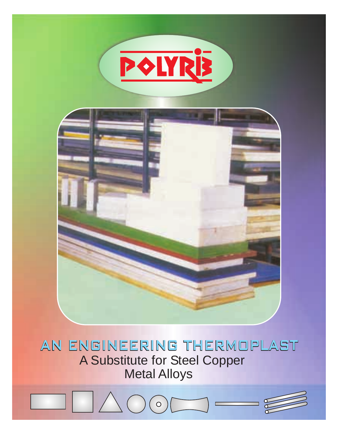

# AN ENGINEERING THERMOPLAST A Substitute for Steel Copper Metal Alloys

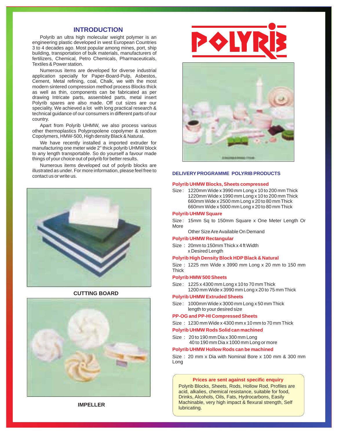# **INTRODUCTION**

Polyrib an ultra high molecular weight polymer is an engineering plastic developed in west European Countries 3 to 4 decades ago. Most popular among mines, port, ship building, transportation of bulk materials, manufacturers of fertilizers, Chemical, Petro Chemicals, Pharmaceuticals, Textiles & Power station.

Numerous items are developed for diverse industrial application specially for Paper-Board-Pulp, Asbestos, Cement, Metal refining, coal, Chalk, we with the most modern sintered compression method process Blocks thick as well as thin, components can be fabricated as per drawing Intricate parts, assembled parts, metal insert Polyrib spares are also made. Off cut sizes are our speciality. We achieved a lot with long practical research & technical guidance of our consumers in different parts of our country.

Apart from Polyrib UHMW, we also process various other thermoplastics Polypropolene copolymer & random Copolymers, HMW-500, High density Black & Natural.

We have recently installed a imported extruder for manufacturing one meter wide 2" thick polyrib UHMW block to any length transportable. So do yourself a favour made things of your choice out of polyrib for better results.

Numerous items developed out of polyrib blocks are illustrated as under. For more information, please feel free to



## **CUTTING BOARD**







#### DELIVERY PROGRAMME POLYRIB PRODUCTS

#### **Polyrib UHMW Blocks, Sheets compressed**

Size : 1220mm Wide x 3990 mm Long x 10 to 200 mm Thick 1220mm Wide x 1990 mm Long x 10 to 200 mm Thick 660mm Wide x 2500 mm Long x 20 to 80 mm Thick 660mm Wide x 5000 mm Long x 20 to 80 mm Thick

#### **Polyrib UHMW Square**

- Size : 15mm Sq to 150mm Square x One Meter Length Or More
	- Other Size Are Available On Demand

### **Polyrib UHMW Rectangular**

Size : 20mm to 150mm Thick x 4 ft Width x Desired Length

#### **Polyrib High Density Block HDP Black & Natural**

Size : 1225 mm Wide x 3990 mm Long x 20 mm to 150 mm **Thick** 

#### **Polyrib HMW 500 Sheets**

Size : 1225 x 4300 mm Long x 10 to 70 mm Thick 1200 mm Wide x 3990 mm Long x 20 to 75 mm Thick

#### **Polyrib UHMW Extruded Sheets**

Size : 1000mm Wide x 3000 mm Long x 50 mm Thick length to your desired size

#### **PP-OG and PP-HI Compressed Sheets**

Size : 1230 mm Wide x 4300 mm x 10 mm to 70 mm Thick

#### **Polyrib UHMW Rods Solid can machined**

Size : 20 to 190 mm Dia x 300 mm Long 40 to 190 mm Dia x 1000 mm Long or more

#### **Polyrib UHMW Hollow Rods can be machined**

Size : 20 mm x Dia with Nominal Bore x 100 mm & 300 mm Long

#### **Prices are sent against specific enquiry**

Polyrib Blocks, Sheets, Rods, Hollow Rod, Profiles are acid, alkalies, chemical resistance, suitable for food, Drinks, Alcohols, Oils, Fats, Hydrocarbons, Easily Machinable, very high impact & flexural strength, Self lubricating.

**IMPELLER**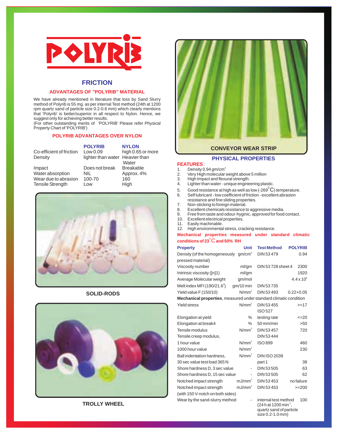

# **FRICTION**

## **ADVANTAGES OF "POLYRIB" MATERIAL**

We have already mentioned in literature that loss by Sand Slurry method of Polyrib is 55 mg. as per internal Test method (24th at 1200 rpm quartz sand of particle size 0.2-0.6 mm) which clearly mentions that 'Polyrib' is better/superior in all respect to Nylon. Hence, we suggest only for achieving better results.

(For other outstanding merits of 'POLYRIB' Please refer Physical Property Chart of 'POLYRIB')

## **POLYRIB ADVANTAGES OVER NYLON**

|                          | <b>POLYRIB</b>                  | <b>NYLON</b>      |
|--------------------------|---------------------------------|-------------------|
| Co-efficient of friction | Low 0.09                        | high 0.65 or more |
| Density                  | lighter than water Heavier than |                   |
|                          |                                 | Water             |
| Impact                   | Does not break                  | <b>Breakable</b>  |
| Water absorption         | <b>NIL</b>                      | Approx. 4%        |
| Wear due to abrasion     | 100-70                          | 160               |
| <b>Tensile Strength</b>  | Low                             | High              |
|                          |                                 |                   |



# **SOLID-RODS**



**TROLLY WHEEL**



# **CONVEYOR WEAR STRIP**

# **PHYSICAL PROPERTIES**

## **FEATURES** :

- 1. Density 0.94 gm/cm<sup>3</sup>
- 2. Very High molecular weight above 5 million
- 3. High Impact and flexural strength.<br>4. Lighter than water unique engine Lighter than water - unique engineering plastic.
- 
- 5. Good resistance at high as well as low (-269 $^{\rm o}{\rm C}$ ) temperature.
- 6. Self lubricant low coefficient of friction excellent abrasion
- resistance and fine sliding properties.<br>7. Non-sticking to foreign material.
- 7. Non-sticking to foreign material.<br>8. Excellent chemicals resistance to
- 8. Excellent chemicals resistance to aggressive media.<br>9. Free from taste and odour-hyginic, approved for food
- 9. Free from taste and odour-hyginic, approved for food contact.<br>10. Excellent electrical properties.
- 10. Excellent electrical properties.<br>11. Easily machinable.
- 11. Easily machinable.<br>12. High environmenta
- High environmental stress, cracking resistance.

## **Mechanical properties measured under standard climatic**  <sup>0</sup>**conditions of 23** C **and 50% RH**

| <b>Property</b>                                                           | <b>Unit</b>        | <b>Test Method</b>   | <b>POLYRIB</b>      |  |
|---------------------------------------------------------------------------|--------------------|----------------------|---------------------|--|
| Density (of the homogeneously gm/cm <sup>3</sup>                          |                    | DIN 53479            | 0.94                |  |
| pressed material)                                                         |                    |                      |                     |  |
| Viscosity number                                                          | ml/gm              | DIN 53728 sheet 4    | 2300                |  |
| Intrinsic viscosity ([n]1)                                                | ml/gm              |                      | 1920                |  |
| Average Molecular weight                                                  | gm/mol             |                      | $4.4 \times 10^{6}$ |  |
| Melt index MFI (190/21.6 $^{\circ}$ )                                     | $qm/10$ min        | DIN 53735            |                     |  |
| Yield value F (150/10)                                                    | $N/mm^2$           | DIN 53493            | $0.22 + 0.05$       |  |
| <b>Mechanical properties</b> , measured under standard climatic condition |                    |                      |                     |  |
| <b>Yield stress</b>                                                       | N/mm <sup>2</sup>  | DIN 53455            | $>=17$              |  |
|                                                                           |                    | ISO 527              |                     |  |
| Elongation at yield                                                       | $\%$               | testing rate         | $\leq$ 20           |  |
| Elongation at break4                                                      | $\%$               | $50 \text{ mm/min}$  | >50                 |  |
| Tensile modulus                                                           | $N/mm^2$           | DIN 53457            | 720                 |  |
| Tensile creep modulus,                                                    |                    | DIN 53444            |                     |  |
| 1 hour value                                                              | N/mm <sup>2</sup>  | <b>ISO 899</b>       | 460                 |  |
| 1000 hour value                                                           | $N/mm^2$           |                      | 230                 |  |
| Ball indentation hardness,                                                | N/mm <sup>2</sup>  | <b>DIN ISO 2039</b>  |                     |  |
| 30 sec value test load 365 N                                              |                    | part 1               | 38                  |  |
| Shore hardness D, 3 sec value                                             | ٠                  | DIN 53 505           | 63                  |  |
| Shore hardness D, 15 sec value                                            |                    | DIN 53 505           | 62                  |  |
| Notched impact strength                                                   | mJ/mm <sup>2</sup> | DIN 53453            | no failure          |  |
| Notched impact strength                                                   | mJ/mm <sup>2</sup> | DIN 53453            | $>=200$             |  |
| (with 150 V-notch on both sides)                                          |                    |                      |                     |  |
| Wear by the sand-slurry method                                            |                    | internal test method | 100                 |  |

 $(24 h at 1200 min<sup>-1</sup>)$ quartz sand of particle size 0.2-1.0 mm)